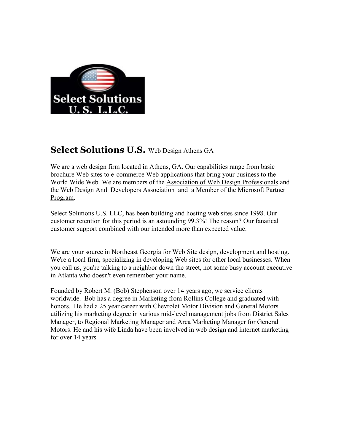

## **Select Solutions U.S.** Web Design Athens GA

We are a web design firm located in Athens, GA. Our capabilities range from basic brochure Web sites to e-commerce Web applications that bring your business to the World Wide Web. We are members of the Association of Web Design Professionals and the Web Design And Developers Association and a Member of the Microsoft Partner Program.

Select Solutions U.S. LLC, has been building and hosting web sites since 1998. Our customer retention for this period is an astounding 99.3%! The reason? Our fanatical customer support combined with our intended more than expected value.

We are your source in Northeast Georgia for Web Site design, development and hosting. We're a local firm, specializing in developing Web sites for other local businesses. When you call us, you're talking to a neighbor down the street, not some busy account executive in Atlanta who doesn't even remember your name.

Founded by Robert M. (Bob) Stephenson over 14 years ago, we service clients worldwide. Bob has a degree in Marketing from Rollins College and graduated with honors. He had a 25 year career with Chevrolet Motor Division and General Motors utilizing his marketing degree in various mid-level management jobs from District Sales Manager, to Regional Marketing Manager and Area Marketing Manager for General Motors. He and his wife Linda have been involved in web design and internet marketing for over 14 years.